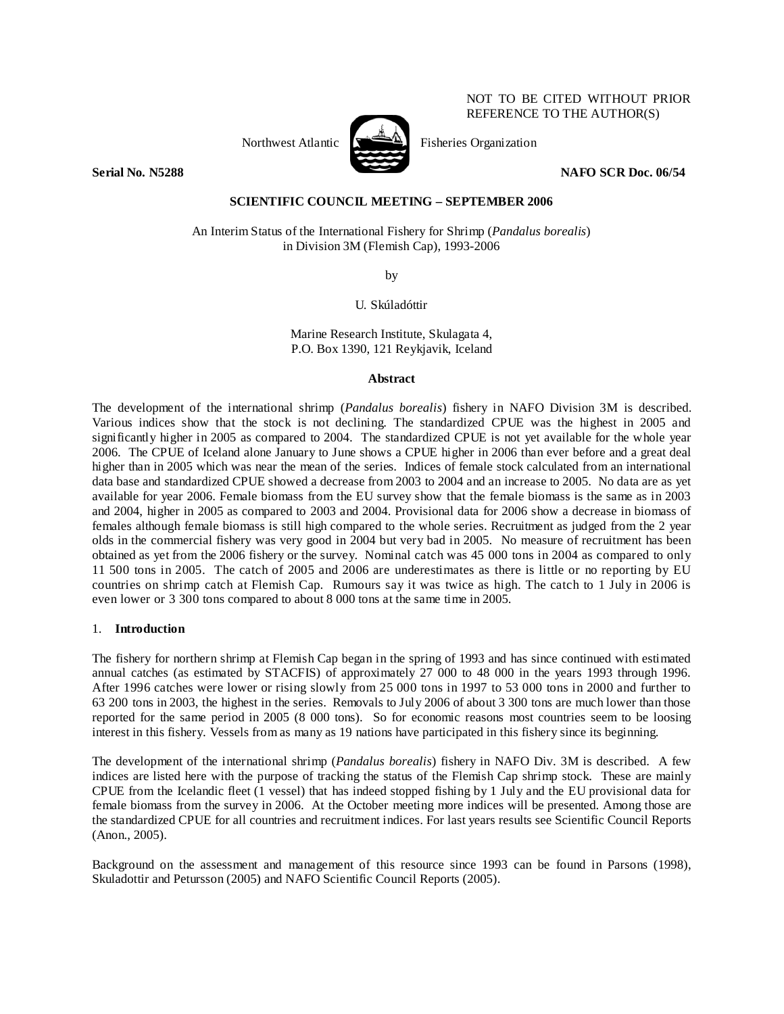Northwest Atlantic  $\mathbb{R}$  Fisheries Organization



NOT TO BE CITED WITHOUT PRIOR REFERENCE TO THE AUTHOR(S)

## **Serial No. N5288 NAFO SCR Doc. 06/54**

# **SCIENTIFIC COUNCIL MEETING – SEPTEMBER 2006**

An Interim Status of the International Fishery for Shrimp (*Pandalus borealis*) in Division 3M (Flemish Cap), 1993-2006

by

U. Skúladóttir

Marine Research Institute, Skulagata 4, P.O. Box 1390, 121 Reykjavik, Iceland

## **Abstract**

The development of the international shrimp (*Pandalus borealis*) fishery in NAFO Division 3M is described. Various indices show that the stock is not declining. The standardized CPUE was the highest in 2005 and significantly higher in 2005 as compared to 2004. The standardized CPUE is not yet available for the whole year 2006. The CPUE of Iceland alone January to June shows a CPUE higher in 2006 than ever before and a great deal higher than in 2005 which was near the mean of the series. Indices of female stock calculated from an international data base and standardized CPUE showed a decrease from 2003 to 2004 and an increase to 2005. No data are as yet available for year 2006. Female biomass from the EU survey show that the female biomass is the same as in 2003 and 2004, higher in 2005 as compared to 2003 and 2004. Provisional data for 2006 show a decrease in biomass of females although female biomass is still high compared to the whole series. Recruitment as judged from the 2 year olds in the commercial fishery was very good in 2004 but very bad in 2005. No measure of recruitment has been obtained as yet from the 2006 fishery or the survey. Nominal catch was 45 000 tons in 2004 as compared to only 11 500 tons in 2005. The catch of 2005 and 2006 are underestimates as there is little or no reporting by EU countries on shrimp catch at Flemish Cap. Rumours say it was twice as high. The catch to 1 July in 2006 is even lower or 3 300 tons compared to about 8 000 tons at the same time in 2005.

## 1. **Introduction**

The fishery for northern shrimp at Flemish Cap began in the spring of 1993 and has since continued with estimated annual catches (as estimated by STACFIS) of approximately 27 000 to 48 000 in the years 1993 through 1996. After 1996 catches were lower or rising slowly from 25 000 tons in 1997 to 53 000 tons in 2000 and further to 63 200 tons in 2003, the highest in the series. Removals to July 2006 of about 3 300 tons are much lower than those reported for the same period in 2005 (8 000 tons). So for economic reasons most countries seem to be loosing interest in this fishery. Vessels from as many as 19 nations have participated in this fishery since its beginning.

The development of the international shrimp (*Pandalus borealis*) fishery in NAFO Div. 3M is described. A few indices are listed here with the purpose of tracking the status of the Flemish Cap shrimp stock. These are mainly CPUE from the Icelandic fleet (1 vessel) that has indeed stopped fishing by 1 July and the EU provisional data for female biomass from the survey in 2006. At the October meeting more indices will be presented. Among those are the standardized CPUE for all countries and recruitment indices. For last years results see Scientific Council Reports (Anon., 2005).

Background on the assessment and management of this resource since 1993 can be found in Parsons (1998), Skuladottir and Petursson (2005) and NAFO Scientific Council Reports (2005).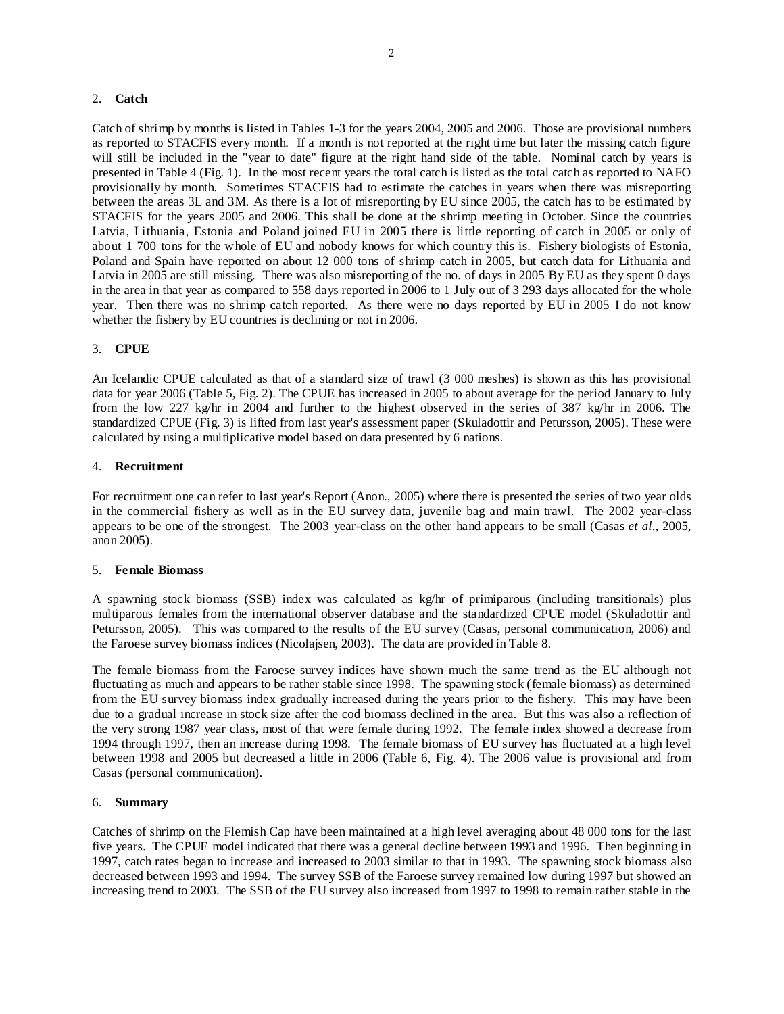## 2. **Catch**

Catch of shrimp by months is listed in Tables 1-3 for the years 2004, 2005 and 2006. Those are provisional numbers as reported to STACFIS every month. If a month is not reported at the right time but later the missing catch figure will still be included in the "year to date" figure at the right hand side of the table. Nominal catch by years is presented in Table 4 (Fig. 1). In the most recent years the total catch is listed as the total catch as reported to NAFO provisionally by month. Sometimes STACFIS had to estimate the catches in years when there was misreporting between the areas 3L and 3M. As there is a lot of misreporting by EU since 2005, the catch has to be estimated by STACFIS for the years 2005 and 2006. This shall be done at the shrimp meeting in October. Since the countries Latvia, Lithuania, Estonia and Poland joined EU in 2005 there is little reporting of catch in 2005 or only of about 1 700 tons for the whole of EU and nobody knows for which country this is. Fishery biologists of Estonia, Poland and Spain have reported on about 12 000 tons of shrimp catch in 2005, but catch data for Lithuania and Latvia in 2005 are still missing. There was also misreporting of the no. of days in 2005 By EU as they spent 0 days in the area in that year as compared to 558 days reported in 2006 to 1 July out of 3 293 days allocated for the whole year. Then there was no shrimp catch reported. As there were no days reported by EU in 2005 I do not know whether the fishery by EU countries is declining or not in 2006.

## 3. **CPUE**

An Icelandic CPUE calculated as that of a standard size of trawl (3 000 meshes) is shown as this has provisional data for year 2006 (Table 5, Fig. 2). The CPUE has increased in 2005 to about average for the period January to July from the low 227 kg/hr in 2004 and further to the highest observed in the series of 387 kg/hr in 2006. The standardized CPUE (Fig. 3) is lifted from last year's assessment paper (Skuladottir and Petursson, 2005). These were calculated by using a multiplicative model based on data presented by 6 nations.

#### 4. **Recruitment**

For recruitment one can refer to last year's Report (Anon., 2005) where there is presented the series of two year olds in the commercial fishery as well as in the EU survey data, juvenile bag and main trawl. The 2002 year-class appears to be one of the strongest. The 2003 year-class on the other hand appears to be small (Casas *et al*., 2005, anon 2005).

#### 5. **Female Biomass**

A spawning stock biomass (SSB) index was calculated as kg/hr of primiparous (including transitionals) plus multiparous females from the international observer database and the standardized CPUE model (Skuladottir and Petursson, 2005). This was compared to the results of the EU survey (Casas, personal communication, 2006) and the Faroese survey biomass indices (Nicolajsen, 2003). The data are provided in Table 8.

The female biomass from the Faroese survey indices have shown much the same trend as the EU although not fluctuating as much and appears to be rather stable since 1998. The spawning stock (female biomass) as determined from the EU survey biomass index gradually increased during the years prior to the fishery. This may have been due to a gradual increase in stock size after the cod biomass declined in the area. But this was also a reflection of the very strong 1987 year class, most of that were female during 1992. The female index showed a decrease from 1994 through 1997, then an increase during 1998. The female biomass of EU survey has fluctuated at a high level between 1998 and 2005 but decreased a little in 2006 (Table 6, Fig. 4). The 2006 value is provisional and from Casas (personal communication).

#### 6. **Summary**

Catches of shrimp on the Flemish Cap have been maintained at a high level averaging about 48 000 tons for the last five years. The CPUE model indicated that there was a general decline between 1993 and 1996. Then beginning in 1997, catch rates began to increase and increased to 2003 similar to that in 1993. The spawning stock biomass also decreased between 1993 and 1994. The survey SSB of the Faroese survey remained low during 1997 but showed an increasing trend to 2003. The SSB of the EU survey also increased from 1997 to 1998 to remain rather stable in the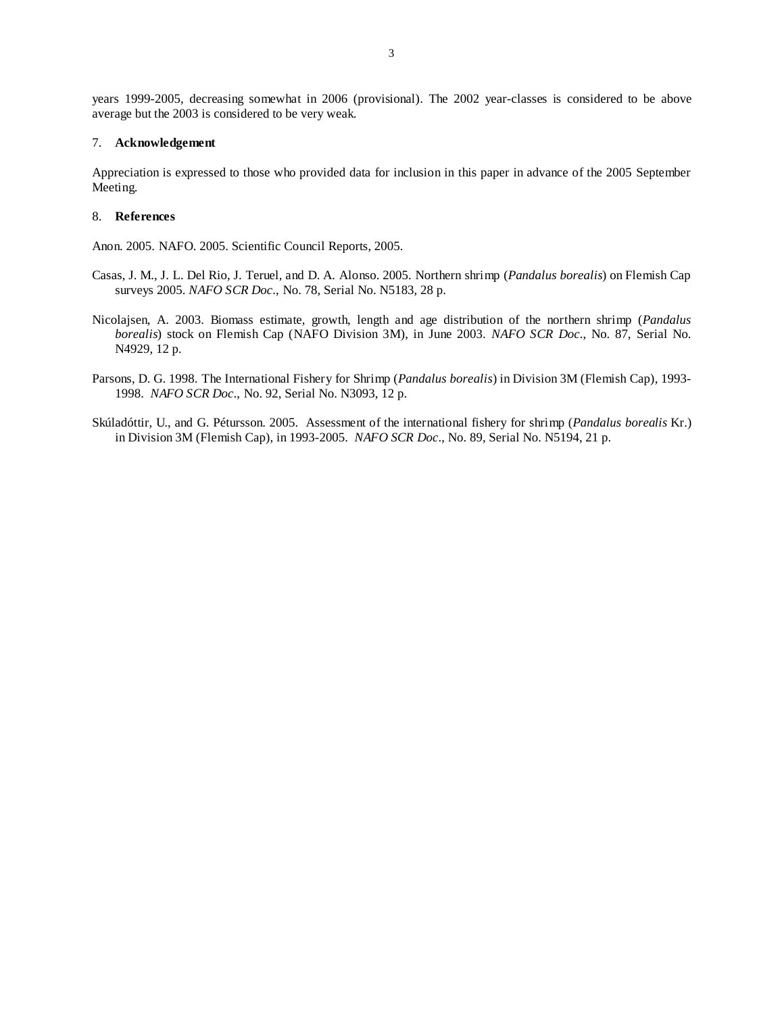years 1999-2005, decreasing somewhat in 2006 (provisional). The 2002 year-classes is considered to be above average but the 2003 is considered to be very weak.

#### 7. **Acknowledgement**

Appreciation is expressed to those who provided data for inclusion in this paper in advance of the 2005 September Meeting.

#### 8. **References**

Anon. 2005. NAFO. 2005. Scientific Council Reports, 2005.

- Casas, J. M., J. L. Del Rio, J. Teruel, and D. A. Alonso. 2005. Northern shrimp (*Pandalus borealis*) on Flemish Cap surveys 2005. *NAFO SCR Doc*., No. 78, Serial No. N5183, 28 p.
- Nicolajsen, A. 2003. Biomass estimate, growth, length and age distribution of the northern shrimp (*Pandalus borealis*) stock on Flemish Cap (NAFO Division 3M), in June 2003. *NAFO SCR Doc*., No. 87, Serial No. N4929, 12 p.
- Parsons, D. G. 1998. The International Fishery for Shrimp (*Pandalus borealis*) in Division 3M (Flemish Cap), 1993- 1998. *NAFO SCR Doc*., No. 92, Serial No. N3093, 12 p.
- Skúladóttir, U., and G. Pétursson. 2005. Assessment of the international fishery for shrimp (*Pandalus borealis* Kr.) in Division 3M (Flemish Cap), in 1993-2005. *NAFO SCR Doc*., No. 89, Serial No. N5194, 21 p.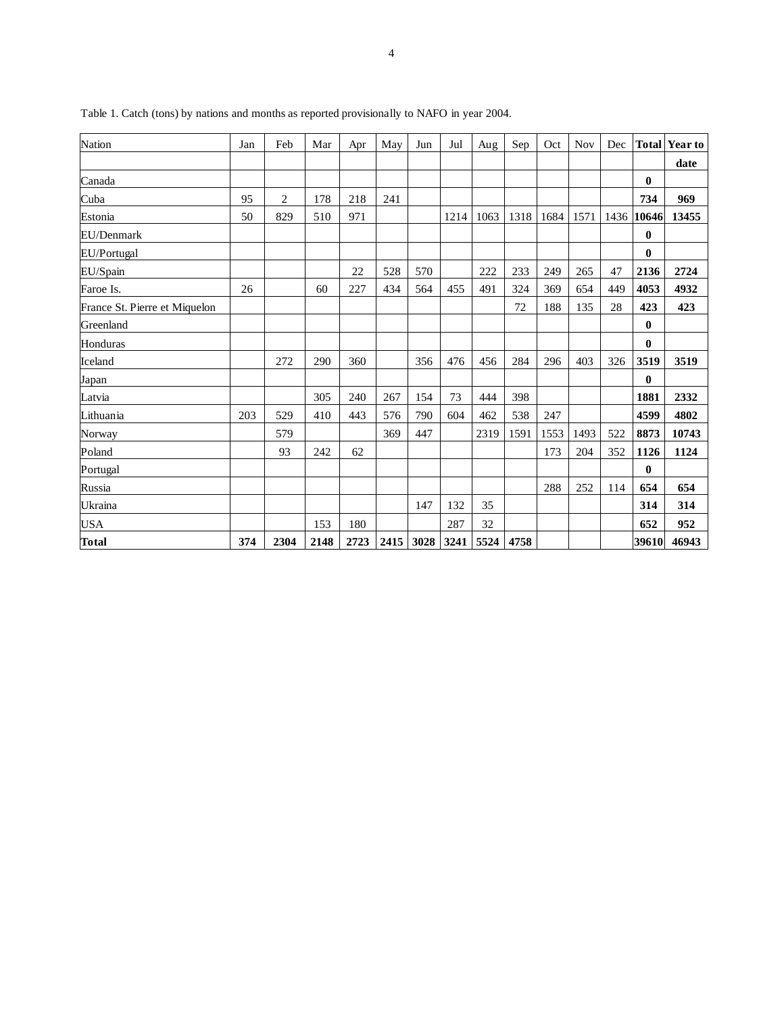| <b>Nation</b>                 | Jan | Feb            | Mar  | Apr  | May | Jun            | Jul  | Aug  | Sep  | Oct  | <b>Nov</b> | Dec  | <b>Total</b> | <b>Year to</b> |
|-------------------------------|-----|----------------|------|------|-----|----------------|------|------|------|------|------------|------|--------------|----------------|
|                               |     |                |      |      |     |                |      |      |      |      |            |      |              | date           |
| Canada                        |     |                |      |      |     |                |      |      |      |      |            |      | $\bf{0}$     |                |
| Cuba                          | 95  | $\overline{c}$ | 178  | 218  | 241 |                |      |      |      |      |            |      | 734          | 969            |
| Estonia                       | 50  | 829            | 510  | 971  |     |                | 1214 | 1063 | 1318 | 1684 | 1571       | 1436 | 10646        | 13455          |
| EU/Denmark                    |     |                |      |      |     |                |      |      |      |      |            |      | $\bf{0}$     |                |
| EU/Portugal                   |     |                |      |      |     |                |      |      |      |      |            |      | $\mathbf{0}$ |                |
| EU/Spain                      |     |                |      | 22   | 528 | 570            |      | 222  | 233  | 249  | 265        | 47   | 2136         | 2724           |
| Faroe Is.                     | 26  |                | 60   | 227  | 434 | 564            | 455  | 491  | 324  | 369  | 654        | 449  | 4053         | 4932           |
| France St. Pierre et Miquelon |     |                |      |      |     |                |      |      | 72   | 188  | 135        | 28   | 423          | 423            |
| Greenland                     |     |                |      |      |     |                |      |      |      |      |            |      | $\bf{0}$     |                |
| Honduras                      |     |                |      |      |     |                |      |      |      |      |            |      | $\bf{0}$     |                |
| Iceland                       |     | 272            | 290  | 360  |     | 356            | 476  | 456  | 284  | 296  | 403        | 326  | 3519         | 3519           |
| Japan                         |     |                |      |      |     |                |      |      |      |      |            |      | $\bf{0}$     |                |
| Latvia                        |     |                | 305  | 240  | 267 | 154            | 73   | 444  | 398  |      |            |      | 1881         | 2332           |
| Lithuania                     | 203 | 529            | 410  | 443  | 576 | 790            | 604  | 462  | 538  | 247  |            |      | 4599         | 4802           |
| Norway                        |     | 579            |      |      | 369 | 447            |      | 2319 | 1591 | 1553 | 1493       | 522  | 8873         | 10743          |
| Poland                        |     | 93             | 242  | 62   |     |                |      |      |      | 173  | 204        | 352  | 1126         | 1124           |
| Portugal                      |     |                |      |      |     |                |      |      |      |      |            |      | $\bf{0}$     |                |
| Russia                        |     |                |      |      |     |                |      |      |      | 288  | 252        | 114  | 654          | 654            |
| Ukraina                       |     |                |      |      |     | 147            | 132  | 35   |      |      |            |      | 314          | 314            |
| <b>USA</b>                    |     |                | 153  | 180  |     |                | 287  | 32   |      |      |            |      | 652          | 952            |
| <b>Total</b>                  | 374 | 2304           | 2148 | 2723 |     | 2415 3028 3241 |      | 5524 | 4758 |      |            |      | 39610        | 46943          |

Table 1. Catch (tons) by nations and months as reported provisionally to NAFO in year 2004.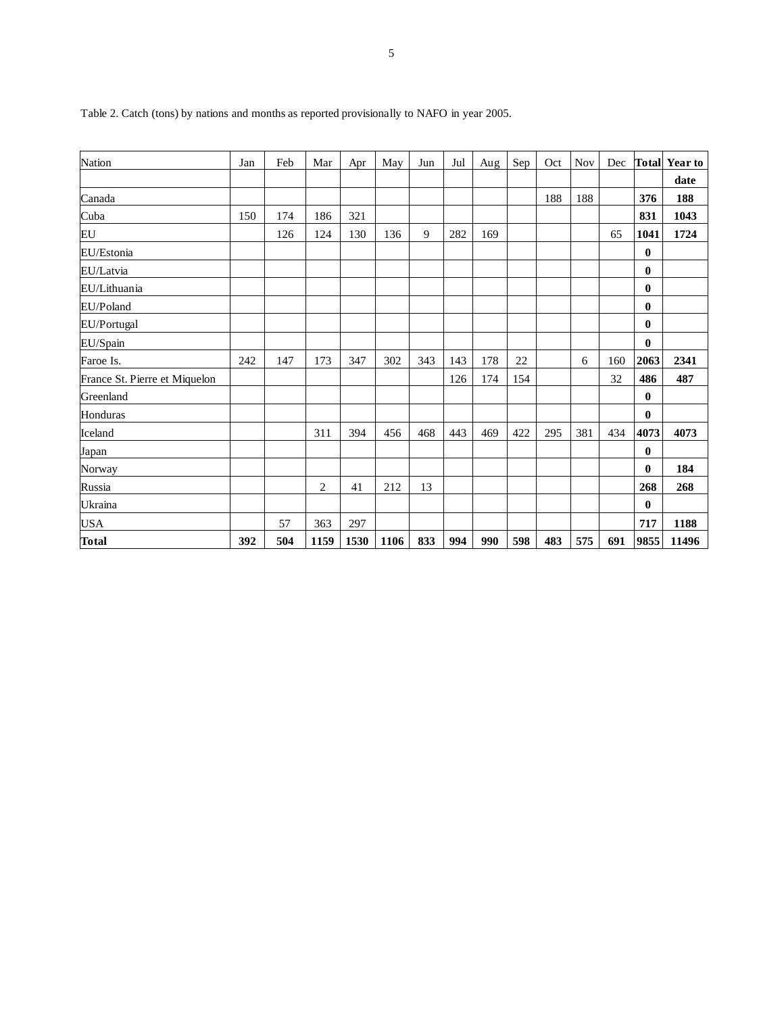| Nation                        | Jan | Feb | Mar  | Apr  | May  | Jun | Jul | Aug | Sep | Oct | <b>Nov</b> | Dec |          | <b>Total</b> Year to |
|-------------------------------|-----|-----|------|------|------|-----|-----|-----|-----|-----|------------|-----|----------|----------------------|
|                               |     |     |      |      |      |     |     |     |     |     |            |     |          | date                 |
| Canada                        |     |     |      |      |      |     |     |     |     | 188 | 188        |     | 376      | 188                  |
| Cuba                          | 150 | 174 | 186  | 321  |      |     |     |     |     |     |            |     | 831      | 1043                 |
| EU                            |     | 126 | 124  | 130  | 136  | 9   | 282 | 169 |     |     |            | 65  | 1041     | 1724                 |
| EU/Estonia                    |     |     |      |      |      |     |     |     |     |     |            |     | $\bf{0}$ |                      |
| EU/Latvia                     |     |     |      |      |      |     |     |     |     |     |            |     | $\bf{0}$ |                      |
| EU/Lithuania                  |     |     |      |      |      |     |     |     |     |     |            |     | $\bf{0}$ |                      |
| EU/Poland                     |     |     |      |      |      |     |     |     |     |     |            |     | $\bf{0}$ |                      |
| EU/Portugal                   |     |     |      |      |      |     |     |     |     |     |            |     | $\bf{0}$ |                      |
| EU/Spain                      |     |     |      |      |      |     |     |     |     |     |            |     | $\bf{0}$ |                      |
| Faroe Is.                     | 242 | 147 | 173  | 347  | 302  | 343 | 143 | 178 | 22  |     | 6          | 160 | 2063     | 2341                 |
| France St. Pierre et Miquelon |     |     |      |      |      |     | 126 | 174 | 154 |     |            | 32  | 486      | 487                  |
| Greenland                     |     |     |      |      |      |     |     |     |     |     |            |     | $\bf{0}$ |                      |
| Honduras                      |     |     |      |      |      |     |     |     |     |     |            |     | $\bf{0}$ |                      |
| Iceland                       |     |     | 311  | 394  | 456  | 468 | 443 | 469 | 422 | 295 | 381        | 434 | 4073     | 4073                 |
| Japan                         |     |     |      |      |      |     |     |     |     |     |            |     | $\bf{0}$ |                      |
| Norway                        |     |     |      |      |      |     |     |     |     |     |            |     | $\bf{0}$ | 184                  |
| Russia                        |     |     | 2    | 41   | 212  | 13  |     |     |     |     |            |     | 268      | 268                  |
| Ukraina                       |     |     |      |      |      |     |     |     |     |     |            |     | $\bf{0}$ |                      |
| <b>USA</b>                    |     | 57  | 363  | 297  |      |     |     |     |     |     |            |     | 717      | 1188                 |
| <b>Total</b>                  | 392 | 504 | 1159 | 1530 | 1106 | 833 | 994 | 990 | 598 | 483 | 575        | 691 | 9855     | 11496                |

Table 2. Catch (tons) by nations and months as reported provisionally to NAFO in year 2005.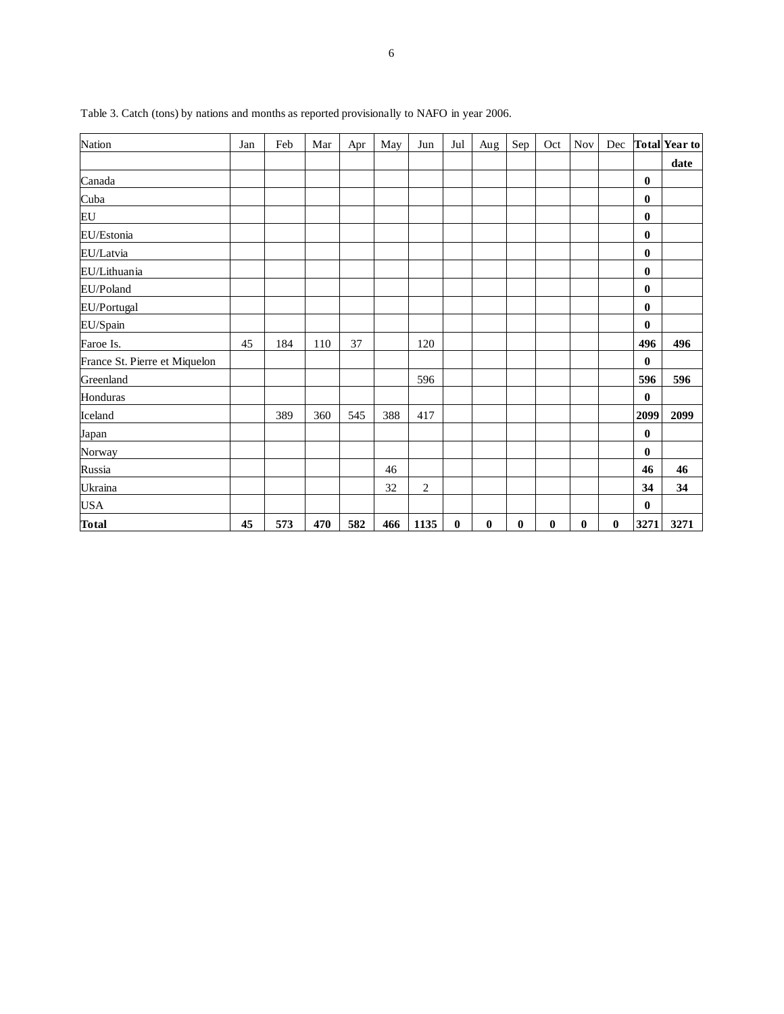| Nation                        | Jan | Feb | Mar | Apr | May | Jun            | Jul | Aug      | Sep      | Oct      | <b>Nov</b> | Dec |          | <b>Total Year to</b> |
|-------------------------------|-----|-----|-----|-----|-----|----------------|-----|----------|----------|----------|------------|-----|----------|----------------------|
|                               |     |     |     |     |     |                |     |          |          |          |            |     |          | date                 |
| Canada                        |     |     |     |     |     |                |     |          |          |          |            |     | $\bf{0}$ |                      |
| Cuba                          |     |     |     |     |     |                |     |          |          |          |            |     | $\bf{0}$ |                      |
| EU                            |     |     |     |     |     |                |     |          |          |          |            |     | $\bf{0}$ |                      |
| EU/Estonia                    |     |     |     |     |     |                |     |          |          |          |            |     | $\bf{0}$ |                      |
| EU/Latvia                     |     |     |     |     |     |                |     |          |          |          |            |     | $\bf{0}$ |                      |
| EU/Lithuania                  |     |     |     |     |     |                |     |          |          |          |            |     | $\bf{0}$ |                      |
| EU/Poland                     |     |     |     |     |     |                |     |          |          |          |            |     | $\bf{0}$ |                      |
| EU/Portugal                   |     |     |     |     |     |                |     |          |          |          |            |     | $\bf{0}$ |                      |
| EU/Spain                      |     |     |     |     |     |                |     |          |          |          |            |     | $\bf{0}$ |                      |
| Faroe Is.                     | 45  | 184 | 110 | 37  |     | 120            |     |          |          |          |            |     | 496      | 496                  |
| France St. Pierre et Miquelon |     |     |     |     |     |                |     |          |          |          |            |     | $\bf{0}$ |                      |
| Greenland                     |     |     |     |     |     | 596            |     |          |          |          |            |     | 596      | 596                  |
| Honduras                      |     |     |     |     |     |                |     |          |          |          |            |     | $\bf{0}$ |                      |
| Iceland                       |     | 389 | 360 | 545 | 388 | 417            |     |          |          |          |            |     | 2099     | 2099                 |
| Japan                         |     |     |     |     |     |                |     |          |          |          |            |     | $\bf{0}$ |                      |
| Norway                        |     |     |     |     |     |                |     |          |          |          |            |     | $\bf{0}$ |                      |
| Russia                        |     |     |     |     | 46  |                |     |          |          |          |            |     | 46       | 46                   |
| Ukraina                       |     |     |     |     | 32  | $\mathfrak{2}$ |     |          |          |          |            |     | 34       | 34                   |
| <b>USA</b>                    |     |     |     |     |     |                |     |          |          |          |            |     | $\bf{0}$ |                      |
| <b>Total</b>                  | 45  | 573 | 470 | 582 | 466 | 1135           | 0   | $\bf{0}$ | $\bf{0}$ | $\bf{0}$ | $\bf{0}$   | 0   | 3271     | 3271                 |

Table 3. Catch (tons) by nations and months as reported provisionally to NAFO in year 2006.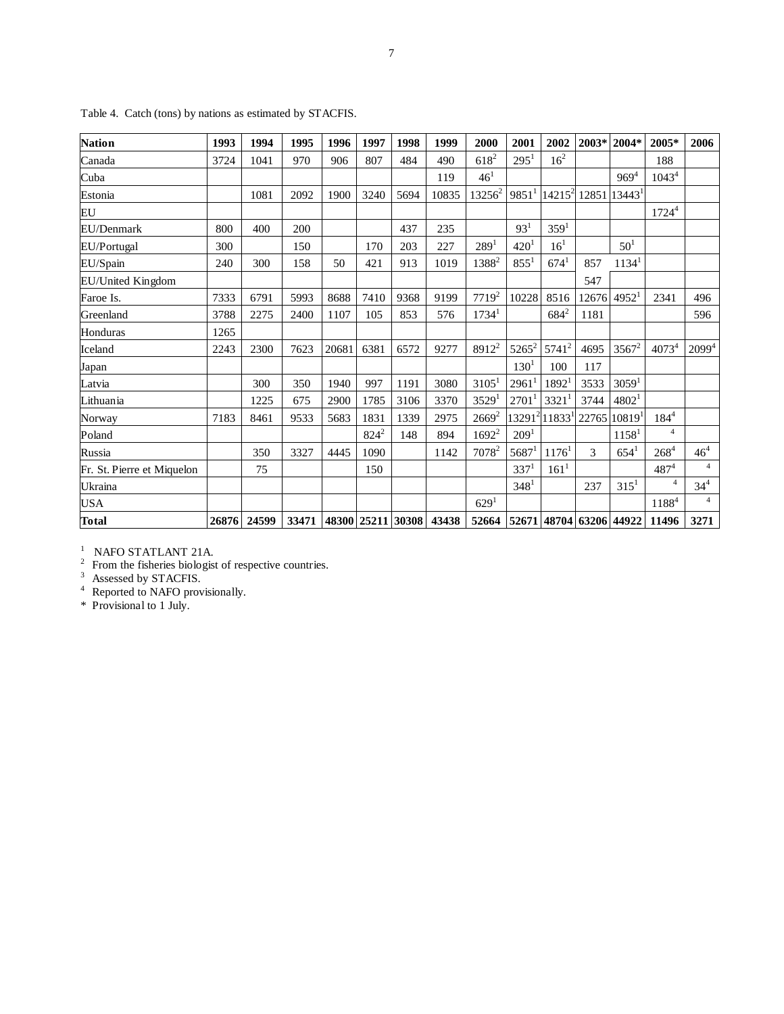| <b>Nation</b>              | 1993  | 1994  | 1995  | 1996  | 1997    | 1998              | 1999  | 2000                          | 2001                | 2002                                  | $2003*$     | 2004*             | 2005*          | 2006            |
|----------------------------|-------|-------|-------|-------|---------|-------------------|-------|-------------------------------|---------------------|---------------------------------------|-------------|-------------------|----------------|-----------------|
| Canada                     | 3724  | 1041  | 970   | 906   | 807     | 484               | 490   | $618^{2}$                     | $295^1$             | 16 <sup>2</sup>                       |             |                   | 188            |                 |
| Cuba                       |       |       |       |       |         |                   | 119   | $46^{1}$                      |                     |                                       |             | $969^{4}$         | $1043^4$       |                 |
| Estonia                    |       | 1081  | 2092  | 1900  | 3240    | 5694              | 10835 | $13256^2$                     | $9851$ <sup>1</sup> | $14215^2$                             |             | 12851 13443       |                |                 |
| EU                         |       |       |       |       |         |                   |       |                               |                     |                                       |             |                   | $1724^4$       |                 |
| EU/Denmark                 | 800   | 400   | 200   |       |         | 437               | 235   |                               | 93 <sup>1</sup>     | 359 <sup>1</sup>                      |             |                   |                |                 |
| EU/Portugal                | 300   |       | 150   |       | 170     | 203               | 227   | 289 <sup>1</sup>              | 420 <sup>1</sup>    | $16^{1}$                              |             | 50 <sup>1</sup>   |                |                 |
| EU/Spain                   | 240   | 300   | 158   | 50    | 421     | 913               | 1019  | 1388 <sup>2</sup>             | $855^1$             | $674^1$                               | 857         | 1134 <sup>1</sup> |                |                 |
| EU/United Kingdom          |       |       |       |       |         |                   |       |                               |                     |                                       | 547         |                   |                |                 |
| Faroe Is.                  | 7333  | 6791  | 5993  | 8688  | 7410    | 9368              | 9199  | $7719^2$                      | 10228               | 8516                                  | 12676       | 4952 <sup>1</sup> | 2341           | 496             |
| Greenland                  | 3788  | 2275  | 2400  | 1107  | 105     | 853               | 576   | $1734^1$                      |                     | $684^{2}$                             | 1181        |                   |                | 596             |
| Honduras                   | 1265  |       |       |       |         |                   |       |                               |                     |                                       |             |                   |                |                 |
| Iceland                    | 2243  | 2300  | 7623  | 20681 | 6381    | 6572              | 9277  | $8912^2$                      | $5265^2$            | $5741^2$                              | 4695        | $3567^2$          | $4073^{4}$     | $2099^{4}$      |
| Japan                      |       |       |       |       |         |                   |       |                               | $130^{1}$           | 100                                   | 117         |                   |                |                 |
| Latvia                     |       | 300   | 350   | 1940  | 997     | 1191              | 3080  | 3105 <sup>1</sup>             | 2961                | 1892 <sup>1</sup>                     | 3533        | 3059 <sup>1</sup> |                |                 |
| Lithuania                  |       | 1225  | 675   | 2900  | 1785    | 3106              | 3370  | 3529 <sup>1</sup>             | 2701                | 3321 <sup>1</sup>                     | 3744        | 4802 <sup>1</sup> |                |                 |
| Norway                     | 7183  | 8461  | 9533  | 5683  | 1831    | 1339              | 2975  | $2669^2$                      |                     | 13291 <sup>2</sup> 11833 <sup>1</sup> | 22765 10819 |                   | $184^{4}$      |                 |
| Poland                     |       |       |       |       | $824^2$ | 148               | 894   | $1692^2$                      | 209 <sup>1</sup>    |                                       |             | 1158 <sup>1</sup> | $\overline{4}$ |                 |
| Russia                     |       | 350   | 3327  | 4445  | 1090    |                   | 1142  | $7078^2$                      | $5687$ <sup>1</sup> | 1176 <sup>1</sup>                     | 3           | $654^1$           | $268^{4}$      | 46 <sup>4</sup> |
| Fr. St. Pierre et Miquelon |       | 75    |       |       | 150     |                   |       |                               | 337 <sup>1</sup>    | $161^1$                               |             |                   | $487^{4}$      | $\overline{4}$  |
| Ukraina                    |       |       |       |       |         |                   |       |                               | 348 <sup>1</sup>    |                                       | 237         | 315 <sup>1</sup>  | $\overline{4}$ | $34^{4}$        |
| USA                        |       |       |       |       |         |                   |       | 629 <sup>1</sup>              |                     |                                       |             |                   | 11884          | $\overline{4}$  |
| <b>Total</b>               | 26876 | 24599 | 33471 |       |         | 48300 25211 30308 | 43438 | 52664 52671 48704 63206 44922 |                     |                                       |             |                   | 11496          | 3271            |

Table 4. Catch (tons) by nations as estimated by STACFIS.

<sup>1</sup> NAFO STATLANT 21A.<br><sup>2</sup> From the fisheries biologist of respective countries.<br><sup>3</sup> Assessed by STACFIS.<br><sup>4</sup> Reported to NAFO provisionally.

\* Provisional to 1 July.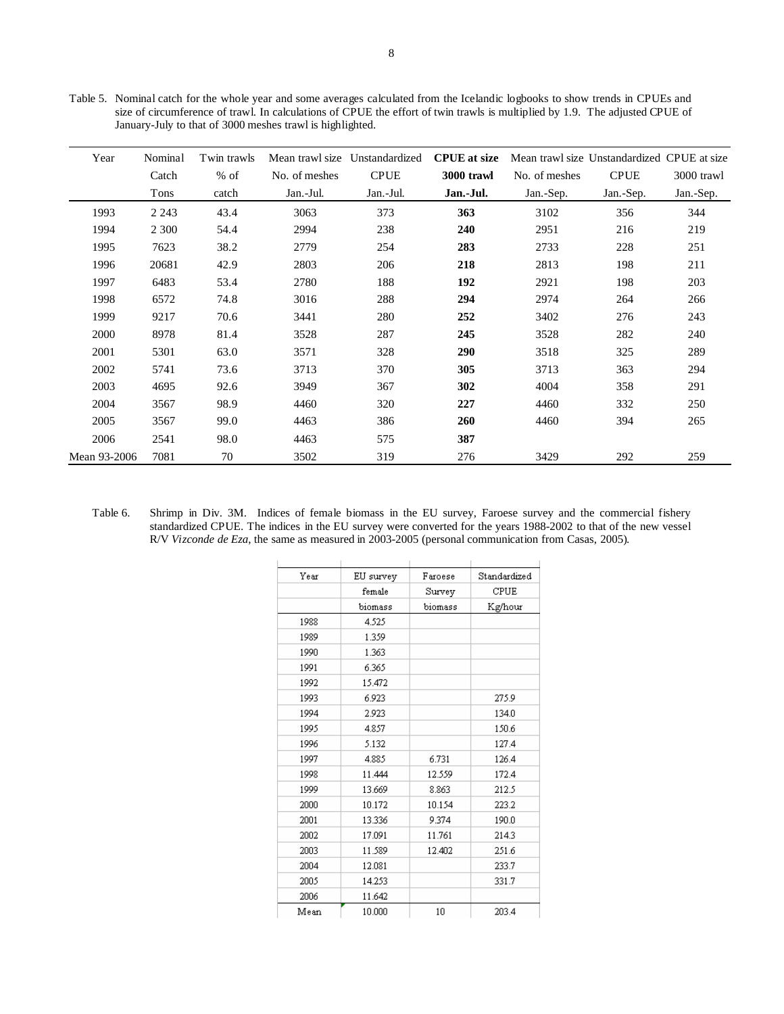Table 5. Nominal catch for the whole year and some averages calculated from the Icelandic logbooks to show trends in CPUEs and size of circumference of trawl. In calculations of CPUE the effort of twin trawls is multiplied by 1.9. The adjusted CPUE of January-July to that of 3000 meshes trawl is highlighted.

| Year         | Nominal | Twin trawls | Mean trawl size | Unstandardized | <b>CPUE</b> at size |               | Mean trawl size Unstandardized CPUE at size |            |
|--------------|---------|-------------|-----------------|----------------|---------------------|---------------|---------------------------------------------|------------|
|              | Catch   | $%$ of      | No. of meshes   | <b>CPUE</b>    | 3000 trawl          | No. of meshes | <b>CPUE</b>                                 | 3000 trawl |
|              | Tons    | catch       | Jan.-Jul.       | Jan.-Jul.      | Jan.-Jul.           | Jan.-Sep.     | Jan.-Sep.                                   | Jan.-Sep.  |
| 1993         | 2 2 4 3 | 43.4        | 3063            | 373            | 363                 | 3102          | 356                                         | 344        |
| 1994         | 2 3 0 0 | 54.4        | 2994            | 238            | 240                 | 2951          | 216                                         | 219        |
| 1995         | 7623    | 38.2        | 2779            | 254            | 283                 | 2733          | 228                                         | 251        |
| 1996         | 20681   | 42.9        | 2803            | 206            | 218                 | 2813          | 198                                         | 211        |
| 1997         | 6483    | 53.4        | 2780            | 188            | 192                 | 2921          | 198                                         | 203        |
| 1998         | 6572    | 74.8        | 3016            | 288            | 294                 | 2974          | 264                                         | 266        |
| 1999         | 9217    | 70.6        | 3441            | 280            | 252                 | 3402          | 276                                         | 243        |
| 2000         | 8978    | 81.4        | 3528            | 287            | 245                 | 3528          | 282                                         | 240        |
| 2001         | 5301    | 63.0        | 3571            | 328            | 290                 | 3518          | 325                                         | 289        |
| 2002         | 5741    | 73.6        | 3713            | 370            | 305                 | 3713          | 363                                         | 294        |
| 2003         | 4695    | 92.6        | 3949            | 367            | 302                 | 4004          | 358                                         | 291        |
| 2004         | 3567    | 98.9        | 4460            | 320            | 227                 | 4460          | 332                                         | 250        |
| 2005         | 3567    | 99.0        | 4463            | 386            | 260                 | 4460          | 394                                         | 265        |
| 2006         | 2541    | 98.0        | 4463            | 575            | 387                 |               |                                             |            |
| Mean 93-2006 | 7081    | 70          | 3502            | 319            | 276                 | 3429          | 292                                         | 259        |

Table 6. Shrimp in Div. 3M. Indices of female biomass in the EU survey, Faroese survey and the commercial fishery standardized CPUE. The indices in the EU survey were converted for the years 1988-2002 to that of the new vessel R/V *Vizconde de Eza*, the same as measured in 2003-2005 (personal communication from Casas, 2005).

| Year | EU survey | Faroese   | Standardized |
|------|-----------|-----------|--------------|
|      | female    | Survey    | CPUE         |
|      | biomass   | biomass   | Kg/hour      |
| 1988 | 4.525     |           |              |
| 1989 | 1.359     |           |              |
| 1990 | 1.363     |           |              |
| 1991 | 6.365     |           |              |
| 1992 | 15.472    |           |              |
| 1993 | 6.923     |           | 275.9        |
| 1994 | 2.923     |           | 134.0        |
| 1995 | 4.857     |           | 150.6        |
| 1996 | 5.132     |           | 127.4        |
| 1997 | 4.885     | 6.731     | 126.4        |
| 1998 | 11.444    | 12.559    | 172.4        |
| 1999 | 13.669    | 8.863     | 212.5        |
| 2000 | 10.172    | 10.154    | 223.2        |
| 2001 | 13.336    | 9.374     | 190.0        |
| 2002 | 17.091    | 11.761    | 214.3        |
| 2003 | 11.589    | 12.402    | 251.6        |
| 2004 | 12.081    |           | 233.7        |
| 2005 | 14.253    |           | 331.7        |
| 2006 | 11.642    |           |              |
| Mean | 10.000    | $10^{-1}$ | 203.4        |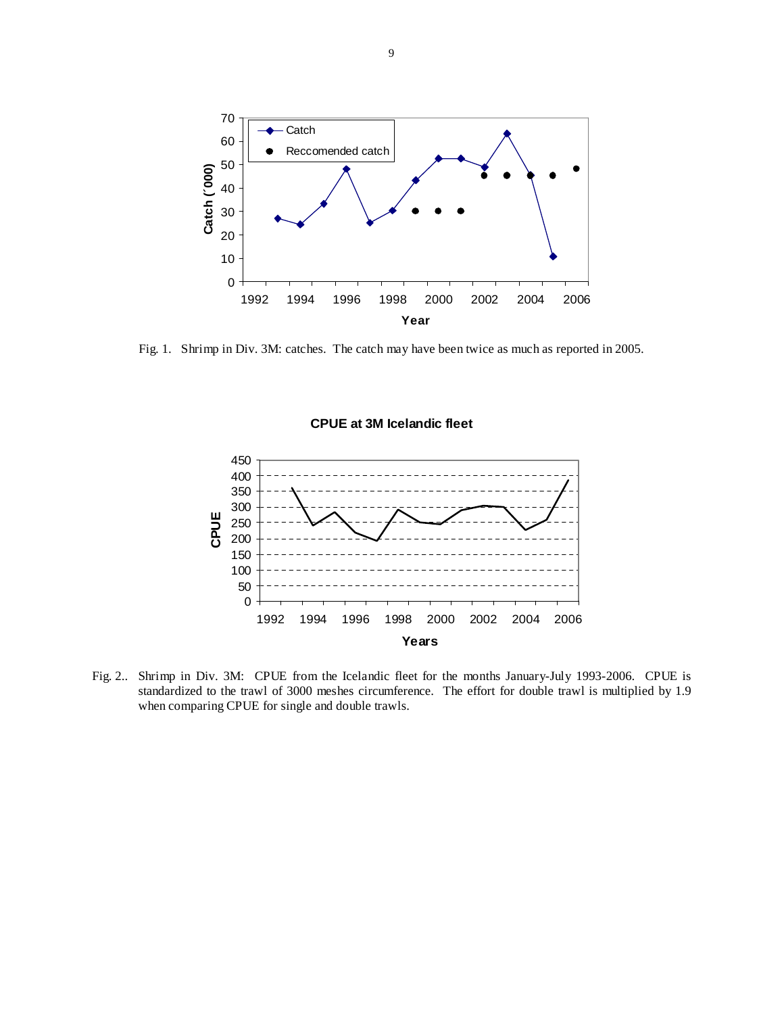

Fig. 1. Shrimp in Div. 3M: catches. The catch may have been twice as much as reported in 2005.



Fig. 2.. Shrimp in Div. 3M: CPUE from the Icelandic fleet for the months January-July 1993-2006. CPUE is standardized to the trawl of 3000 meshes circumference. The effort for double trawl is multiplied by 1.9 when comparing CPUE for single and double trawls.

# **CPUE at 3M Icelandic fleet**